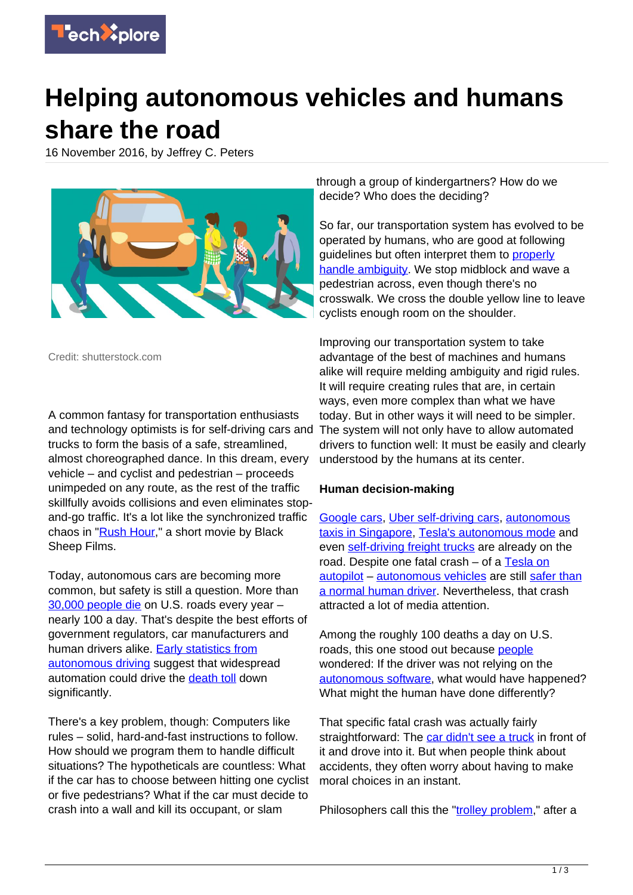

# **Helping autonomous vehicles and humans share the road**

16 November 2016, by Jeffrey C. Peters



Credit: shutterstock.com

A common fantasy for transportation enthusiasts and technology optimists is for self-driving cars and trucks to form the basis of a safe, streamlined, almost choreographed dance. In this dream, every vehicle – and cyclist and pedestrian – proceeds unimpeded on any route, as the rest of the traffic skillfully avoids collisions and even eliminates stopand-go traffic. It's a lot like the synchronized traffic chaos in ["Rush Hour,](https://vimeo.com/106226560)" a short movie by Black Sheep Films.

Today, autonomous cars are becoming more common, but safety is still a question. More than [30,000 people die](http://www.rita.dot.gov/bts/sites/rita.dot.gov.bts/files/publications/by_the_numbers/transportation_safety/index.html) on U.S. roads every year – nearly 100 a day. That's despite the best efforts of government regulators, car manufacturers and human drivers alike. [Early statistics from](http://fivethirtyeight.com/features/no-technology-not-even-teslas-autopilot-can-be-completely-safe/) [autonomous driving](http://fivethirtyeight.com/features/no-technology-not-even-teslas-autopilot-can-be-completely-safe/) suggest that widespread automation could drive the [death toll](http://www.newsweek.com/2015-brought-biggest-us-traffic-death-increase-50-years-427759) down significantly.

There's a key problem, though: Computers like rules – solid, hard-and-fast instructions to follow. How should we program them to handle difficult situations? The hypotheticals are countless: What if the car has to choose between hitting one cyclist or five pedestrians? What if the car must decide to crash into a wall and kill its occupant, or slam

through a group of kindergartners? How do we decide? Who does the deciding?

So far, our transportation system has evolved to be operated by humans, who are good at following guidelines but often interpret them to [properly](http://arstechnica.com/cars/2014/07/the-beauty-of-zipper-merging-or-why-you-should-drive-ruder) [handle ambiguity.](http://arstechnica.com/cars/2014/07/the-beauty-of-zipper-merging-or-why-you-should-drive-ruder) We stop midblock and wave a pedestrian across, even though there's no crosswalk. We cross the double yellow line to leave cyclists enough room on the shoulder.

Improving our transportation system to take advantage of the best of machines and humans alike will require melding ambiguity and rigid rules. It will require creating rules that are, in certain ways, even more complex than what we have today. But in other ways it will need to be simpler. The system will not only have to allow automated drivers to function well: It must be easily and clearly understood by the humans at its center.

### **Human decision-making**

[Google cars,](http://www.wsj.com/articles/googles-self-driving-car-program-odometer-reaches-2-million-miles-1475683321) [Uber self-driving cars,](http://www.bloomberg.com/news/features/2016-08-18/uber-s-first-self-driving-fleet-arrives-in-pittsburgh-this-month-is06r7on) [autonomous](https://www.bloomberg.com/news/articles/2016-08-25/world-s-first-self-driving-taxis-debut-in-singapore) [taxis in Singapore,](https://www.bloomberg.com/news/articles/2016-08-25/world-s-first-self-driving-taxis-debut-in-singapore) [Tesla's autonomous mode](https://www.wired.com/2016/08/how-tesla-autopilot-works/) and even [self-driving freight trucks](https://www.wired.com/2016/10/ubers-self-driving-truck-makes-first-delivery-50000-beer) are already on the road. Despite one fatal crash - of a [Tesla on](http://www.nytimes.com/interactive/2016/07/01/business/inside-tesla-accident.html) [autopilot](http://www.nytimes.com/interactive/2016/07/01/business/inside-tesla-accident.html) – [autonomous vehicles](https://techxplore.com/tags/autonomous+vehicles/) are still [safer than](http://fivethirtyeight.com/features/no-technology-not-even-teslas-autopilot-can-be-completely-safe/) [a normal human driver.](http://fivethirtyeight.com/features/no-technology-not-even-teslas-autopilot-can-be-completely-safe/) Nevertheless, that crash attracted a lot of media attention.

Among the roughly 100 deaths a day on U.S. roads, this one stood out because [people](https://techxplore.com/tags/people/) wondered: If the driver was not relying on the [autonomous software,](https://techxplore.com/tags/autonomous+software/) what would have happened? What might the human have done differently?

That specific fatal crash was actually fairly straightforward: The [car didn't see a truck](https://www.theguardian.com/technology/2016/jun/30/tesla-autopilot-death-self-driving-car-elon-musk) in front of it and drove into it. But when people think about accidents, they often worry about having to make moral choices in an instant.

Philosophers call this the ["trolley problem](http://dx.doi.org/10.5840/monist197659224)," after a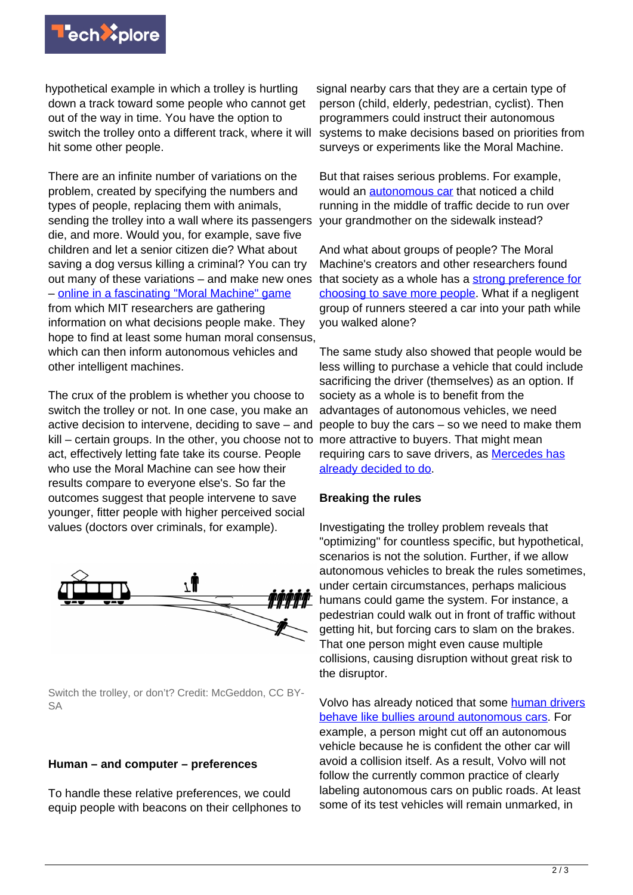

hypothetical example in which a trolley is hurtling down a track toward some people who cannot get out of the way in time. You have the option to switch the trolley onto a different track, where it will hit some other people.

There are an infinite number of variations on the problem, created by specifying the numbers and types of people, replacing them with animals, sending the trolley into a wall where its passengers die, and more. Would you, for example, save five children and let a senior citizen die? What about saving a dog versus killing a criminal? You can try out many of these variations – and make new ones – [online in a fascinating "Moral Machine" game](http://moralmachine.mit.edu/) from which MIT researchers are gathering information on what decisions people make. They hope to find at least some human moral consensus, which can then inform autonomous vehicles and other intelligent machines.

The crux of the problem is whether you choose to switch the trolley or not. In one case, you make an active decision to intervene, deciding to save – and kill – certain groups. In the other, you choose not to more attractive to buyers. That might mean act, effectively letting fate take its course. People who use the Moral Machine can see how their results compare to everyone else's. So far the outcomes suggest that people intervene to save younger, fitter people with higher perceived social values (doctors over criminals, for example).



Switch the trolley, or don't? Credit: McGeddon, CC BY-SA

### **Human – and computer – preferences**

To handle these relative preferences, we could equip people with beacons on their cellphones to signal nearby cars that they are a certain type of person (child, elderly, pedestrian, cyclist). Then programmers could instruct their autonomous systems to make decisions based on priorities from surveys or experiments like the Moral Machine.

But that raises serious problems. For example, would an [autonomous car](https://techxplore.com/tags/autonomous+car/) that noticed a child running in the middle of traffic decide to run over your grandmother on the sidewalk instead?

And what about groups of people? The Moral Machine's creators and other researchers found that society as a whole has a [strong preference for](http://dx.doi.org/10.1126/science.aaf2654) [choosing to save more people](http://dx.doi.org/10.1126/science.aaf2654). What if a negligent group of runners steered a car into your path while you walked alone?

The same study also showed that people would be less willing to purchase a vehicle that could include sacrificing the driver (themselves) as an option. If society as a whole is to benefit from the advantages of autonomous vehicles, we need people to buy the cars – so we need to make them requiring cars to save drivers, as [Mercedes has](http://fortune.com/2016/10/15/mercedes-self-driving-car-ethics/) [already decided to do.](http://fortune.com/2016/10/15/mercedes-self-driving-car-ethics/)

### **Breaking the rules**

Investigating the trolley problem reveals that "optimizing" for countless specific, but hypothetical, scenarios is not the solution. Further, if we allow autonomous vehicles to break the rules sometimes, under certain circumstances, perhaps malicious humans could game the system. For instance, a pedestrian could walk out in front of traffic without getting hit, but forcing cars to slam on the brakes. That one person might even cause multiple collisions, causing disruption without great risk to the disruptor.

Volvo has already noticed that some [human drivers](https://www.theguardian.com/technology/2016/oct/30/volvo-self-driving-car-autonomous) [behave like bullies around autonomous cars](https://www.theguardian.com/technology/2016/oct/30/volvo-self-driving-car-autonomous). For example, a person might cut off an autonomous vehicle because he is confident the other car will avoid a collision itself. As a result, Volvo will not follow the currently common practice of clearly labeling autonomous cars on public roads. At least some of its test vehicles will remain unmarked, in